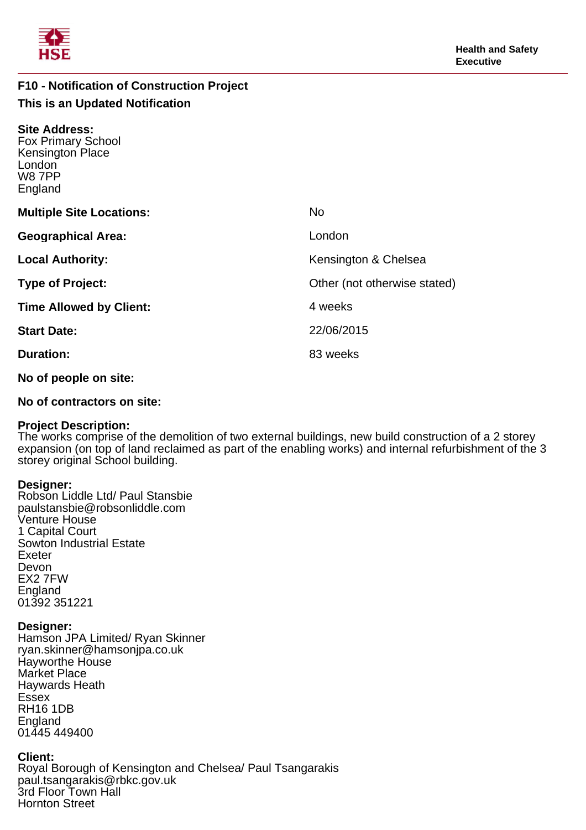

## **F10 - Notification of Construction Project This is an Updated Notification**

| <b>Site Address:</b><br><b>Fox Primary School</b><br>Kensington Place<br>London<br><b>W87PP</b><br>England |                              |
|------------------------------------------------------------------------------------------------------------|------------------------------|
| <b>Multiple Site Locations:</b>                                                                            | <b>No</b>                    |
| <b>Geographical Area:</b>                                                                                  | London                       |
| <b>Local Authority:</b>                                                                                    | Kensington & Chelsea         |
| <b>Type of Project:</b>                                                                                    | Other (not otherwise stated) |
| <b>Time Allowed by Client:</b>                                                                             | 4 weeks                      |
| <b>Start Date:</b>                                                                                         | 22/06/2015                   |
| <b>Duration:</b>                                                                                           | 83 weeks                     |
|                                                                                                            |                              |

**No of people on site:**

## **No of contractors on site:**

## **Project Description:**

The works comprise of the demolition of two external buildings, new build construction of a 2 storey expansion (on top of land reclaimed as part of the enabling works) and internal refurbishment of the 3 storey original School building.

## **Designer:**

Robson Liddle Ltd/ Paul Stansbie paulstansbie@robsonliddle.com Venture House 1 Capital Court Sowton Industrial Estate Exeter Devon EX2 7FW England 01392 351221

## **Designer:**

Hamson JPA Limited/ Ryan Skinner ryan.skinner@hamsonjpa.co.uk Hayworthe House Market Place Haywards Heath **Essex** RH16 1DB England 01445 449400

## **Client:**

Royal Borough of Kensington and Chelsea/ Paul Tsangarakis paul.tsangarakis@rbkc.gov.uk 3rd Floor Town Hall Hornton Street